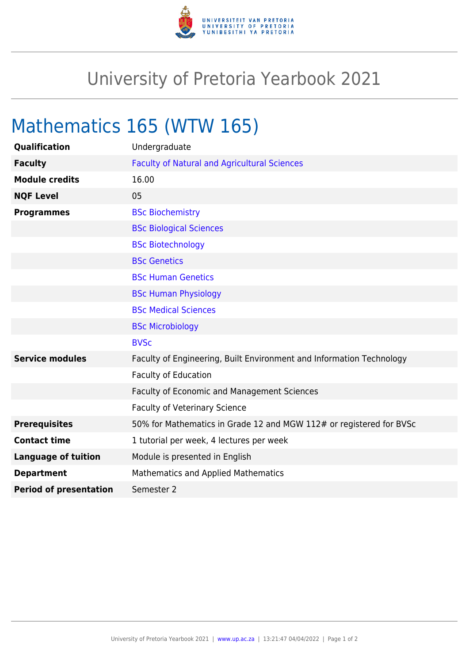

## University of Pretoria Yearbook 2021

## Mathematics 165 (WTW 165)

| Qualification                 | Undergraduate                                                        |
|-------------------------------|----------------------------------------------------------------------|
| <b>Faculty</b>                | <b>Faculty of Natural and Agricultural Sciences</b>                  |
| <b>Module credits</b>         | 16.00                                                                |
| <b>NQF Level</b>              | 05                                                                   |
| <b>Programmes</b>             | <b>BSc Biochemistry</b>                                              |
|                               | <b>BSc Biological Sciences</b>                                       |
|                               | <b>BSc Biotechnology</b>                                             |
|                               | <b>BSc Genetics</b>                                                  |
|                               | <b>BSc Human Genetics</b>                                            |
|                               | <b>BSc Human Physiology</b>                                          |
|                               | <b>BSc Medical Sciences</b>                                          |
|                               | <b>BSc Microbiology</b>                                              |
|                               | <b>BVSc</b>                                                          |
| <b>Service modules</b>        | Faculty of Engineering, Built Environment and Information Technology |
|                               | <b>Faculty of Education</b>                                          |
|                               | <b>Faculty of Economic and Management Sciences</b>                   |
|                               | <b>Faculty of Veterinary Science</b>                                 |
| <b>Prerequisites</b>          | 50% for Mathematics in Grade 12 and MGW 112# or registered for BVSc  |
| <b>Contact time</b>           | 1 tutorial per week, 4 lectures per week                             |
| <b>Language of tuition</b>    | Module is presented in English                                       |
| <b>Department</b>             | Mathematics and Applied Mathematics                                  |
| <b>Period of presentation</b> | Semester 2                                                           |